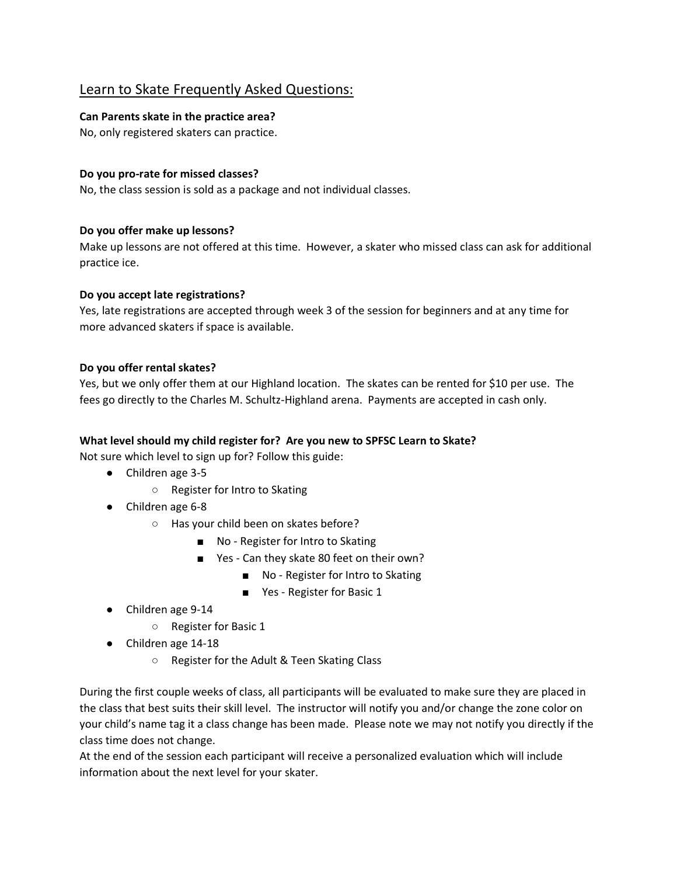# Learn to Skate Frequently Asked Questions:

# **Can Parents skate in the practice area?**

No, only registered skaters can practice.

## **Do you pro-rate for missed classes?**

No, the class session is sold as a package and not individual classes.

# **Do you offer make up lessons?**

Make up lessons are not offered at this time. However, a skater who missed class can ask for additional practice ice.

## **Do you accept late registrations?**

Yes, late registrations are accepted through week 3 of the session for beginners and at any time for more advanced skaters if space is available.

## **Do you offer rental skates?**

Yes, but we only offer them at our Highland location. The skates can be rented for \$10 per use. The fees go directly to the Charles M. Schultz-Highland arena. Payments are accepted in cash only.

# **What level should my child register for? Are you new to SPFSC Learn to Skate?**

Not sure which level to sign up for? Follow this guide:

- Children age 3-5
	- Register for Intro to Skating
- Children age 6-8
	- Has your child been on skates before?
		- No Register for Intro to Skating
		- Yes Can they skate 80 feet on their own?
			- No Register for Intro to Skating
			- Yes Register for Basic 1
- Children age 9-14
	- Register for Basic 1
- Children age 14-18
	- Register for the Adult & Teen Skating Class

During the first couple weeks of class, all participants will be evaluated to make sure they are placed in the class that best suits their skill level. The instructor will notify you and/or change the zone color on your child's name tag it a class change has been made. Please note we may not notify you directly if the class time does not change.

At the end of the session each participant will receive a personalized evaluation which will include information about the next level for your skater.